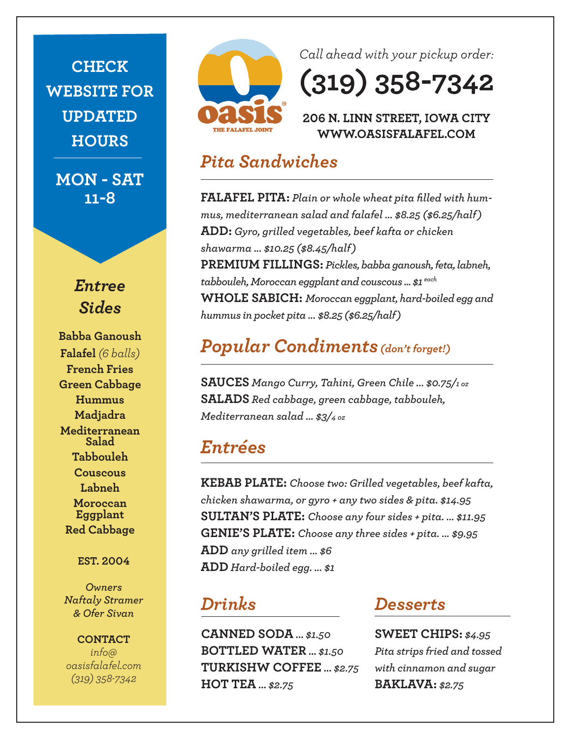**CHECK WEBSITE FOR UPDATED HOURS**

**MON - SAT 11-8**



**Babba Ganoush Falafel** *(6 balls)* **French Fries Green Cabbage Hummus Madjadra Mediterranean Salad Tabbouleh Couscous Labneh Moroccan Eggplant Red Cabbage**

**EST. 2004**

*Owners Naftaly Stramer & Ofer Sivan*

**CONTACT** *info@ oasisfalafel.com (319) 358-7342*



Call ahead with your pickup order:

 $(319) 358 - 7342$ 

### 206 N. LINN STREET, IOWA CITY WWW.OASISFALAFEL.COM

### *Pita Sandwiches*

**FALAFEL PITA:** *Plain or whole wheat pita filled with hummus, mediterranean salad and falafel ... \$8.25 (\$6.25/half)* **ADD:** *Gyro, grilled vegetables, beef kafta or chicken shawarma ... \$10.25 (\$8.45/half)* **PREMIUM FILLINGS:** *Pickles, babba ganoush, feta, labneh, tabbouleh, Moroccan eggplant and couscous ... \$1 each* **WHOLE SABICH:** *Moroccan eggplant, hard-boiled egg and hummus in pocket pita ... \$8.25 (\$6.25/half)*

## *Popular Condiments(don't forget!)*

**SAUCES** *Mango Curry, Tahini, Green Chile ... \$0.75/1 oz* **SALADS** *Red cabbage, green cabbage, tabbouleh, Mediterranean salad ... \$3/4 oz*

### *Entrées*

**KEBAB PLATE:** *Choose two: Grilled vegetables, beef kafta, chicken shawarma, or gyro + any two sides & pita. \$14.95* **SULTAN'S PLATE:** *Choose any four sides + pita. ... \$11.95* **GENIE'S PLATE:** *Choose any three sides + pita. ... \$9.95* **ADD** *any grilled item ... \$6* **ADD** *Hard-boiled egg. ... \$1*

## *Drinks*

**CANNED SODA ...** *\$1.50* **BOTTLED WATER ...** *\$1.50* **TURKISHW COFFEE ...** *\$2.75* **HOT TEA ...** *\$2.75*

### *Desserts*

**SWEET CHIPS:** *\$4.95 Pita strips fried and tossed with cinnamon and sugar* **BAKLAVA:** *\$2.75*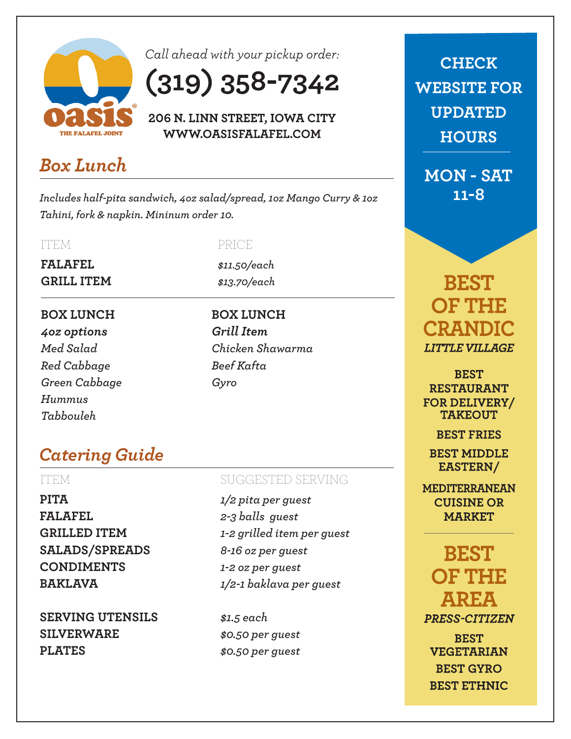

Call ahead with your pickup order:

# $(319) 358 - 7342$

206 N. LINN STREET, IOWA CITY WWW.OASISFALAFEL.COM

## *Box Lunch*

*Includes half-pita sandwich, 4oz salad/spread, 1oz Mango Curry & 1oz Tahini, fork & napkin. Mininum order 10.*

### ITEM

**FALAFEL GRILL ITEM**

### **BOX LUNCH**

*4oz options Med Salad Red Cabbage Green Cabbage Hummus Tabbouleh*

### PRICE

*\$11.50/each \$13.70/each*

**BOX LUNCH**  *Grill Item Chicken Shawarma Beef Kafta Gyro*

## *Catering Guide*

**PITA FALAFEL GRILLED ITEM SALADS/SPREADS CONDIMENTS BAKLAVA**

**SERVING UTENSILS SILVERWARE PLATES**

### ITEM SUGGESTED SERVING

*1/2 pita per guest 2-3 balls guest 1-2 grilled item per guest 8-16 oz per guest 1-2 oz per guest 1/2-1 baklava per guest*

*\$1.5 each \$0.50 per guest \$0.50 per guest*

**CHECK WEBSITE FOR UPDATED HOURS**

**MON - SAT 11-8**

**BEST OF THE CRANDIC LITTLE VILLAGE** 

**BEST RESTAURANT FOR DELIVERY/ TAKEOUT** 

**BEST FRIES** 

**BEST MIDDLE** EASTERN/

**MEDITERRANEAN CUISINE OR MARKET** 

**BEST OF THE AREA** PRESS-CITIZEN **BEST VEGETARIAN BEST GYRO BEST ETHNIC**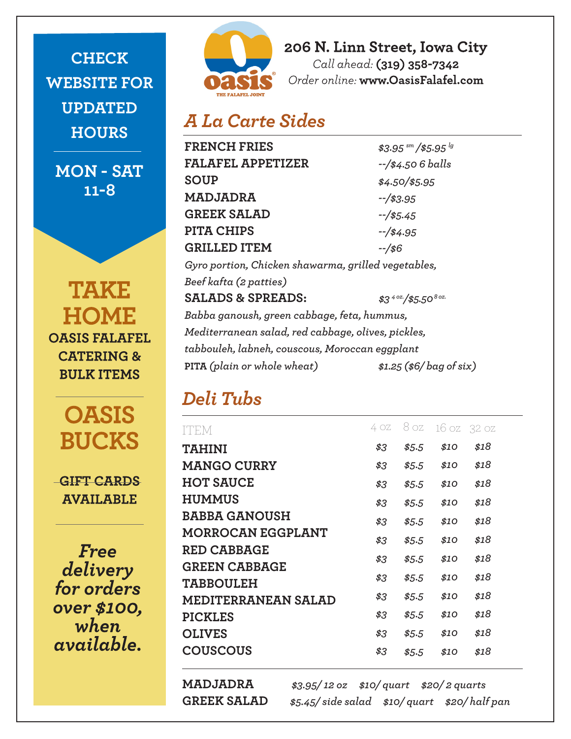**CHECK WEBSITE FOR UPDATED HOURS**

**MON - SAT 11-8**

**TAKE HOME OASIS FALAFEL CATERING & BULK ITEMS** 

> **OASIS BUCKS**

**GIFT CARDS AVAILABLE** 

**Free** delivery for orders over \$100, when available.



206 N. Linn Street, Iowa City Call ahead: (319) 358-7342 Order online: www.OasisFalafel.com

## *A La Carte Sides*

| <b>FRENCH FRIES</b>                                 | $$3.95 \frac{\text{sm}}{\text{m}}$ /\$5.95 $^{lg}$ |  |  |  |
|-----------------------------------------------------|----------------------------------------------------|--|--|--|
| FALAFEL APPETIZER                                   | $-$ /\$4.506 balls                                 |  |  |  |
| SOUP                                                | $$4.50$ /\$5.95                                    |  |  |  |
| MADJADRA                                            | $-$ /\$3.95                                        |  |  |  |
| <b>GREEK SALAD</b>                                  | $-$ /\$5.45                                        |  |  |  |
| PITA CHIPS                                          | $-$ /\$4.95                                        |  |  |  |
| <b>GRILLED ITEM</b>                                 | $-1/56$                                            |  |  |  |
| Gyro portion, Chicken shawarma, grilled vegetables, |                                                    |  |  |  |
| Beef kafta (2 patties)                              |                                                    |  |  |  |
| <b>SALADS &amp; SPREADS:</b>                        | $$3^{4 \text{ oz}}$$ /\$5.50 <sup>80z.</sup>       |  |  |  |
| Babba ganoush, green cabbage, feta, hummus,         |                                                    |  |  |  |
| Mediterranean salad, red cabbage, olives, pickles,  |                                                    |  |  |  |
| tabbouleh, labneh, couscous, Moroccan eggplant      |                                                    |  |  |  |
| PITA (plain or whole wheat)                         | $$1.25$ (\$6/bag of six)                           |  |  |  |
|                                                     |                                                    |  |  |  |

## *Deli Tubs*

| ITEM                       | 4 OZ | 8 oz  | 16 oz | -32 oz |
|----------------------------|------|-------|-------|--------|
|                            |      |       |       |        |
| <b>TAHINI</b>              | \$3  | \$5.5 | \$10  | \$18   |
| <b>MANGO CURRY</b>         | \$3  | \$5.5 | \$10  | \$18   |
| <b>HOT SAUCE</b>           | \$3  | \$5.5 | \$10  | \$18   |
| <b>HUMMUS</b>              | \$3  | \$5.5 | \$10  | \$18   |
| <b>BABBA GANOUSH</b>       | \$3  | \$5.5 | \$10  | \$18   |
| <b>MORROCAN EGGPLANT</b>   | \$3  | \$5.5 | \$10  | \$18   |
| <b>RED CABBAGE</b>         |      |       |       |        |
| <b>GREEN CABBAGE</b>       | \$3  | \$5.5 | \$10  | \$18   |
| <b>TABBOULEH</b>           | \$3  | \$5.5 | \$10  | \$18   |
| <b>MEDITERRANEAN SALAD</b> | \$3  | \$5.5 | \$10  | \$18   |
| <b>PICKLES</b>             | \$3  | \$5.5 | \$10  | \$18   |
| <b>OLIVES</b>              | \$3  | \$5.5 | \$10  | \$18   |
| <b>COUSCOUS</b>            | \$3  | \$5.5 | \$10  | \$18   |

**MADJADRA** *\$3.95/ 12 oz \$10/ quart \$20/ 2 quarts* **GREEK SALAD** *\$5.45/ side salad \$10/ quart \$20/ half pan*